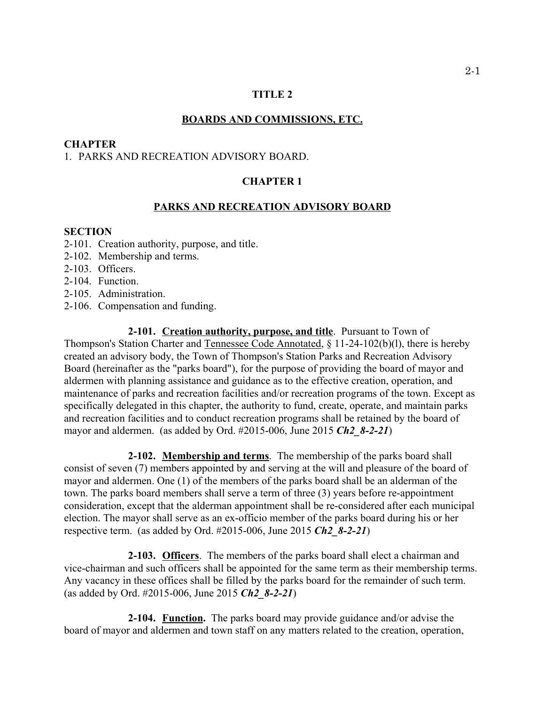## **TITLE 2**

### **BOARDS AND COMMISSIONS, ETC.**

### **CHAPTER**

# 1. PARKS AND RECREATION ADVISORY BOARD.

# **CHAPTER 1**

### **PARKS AND RECREATION ADVISORY BOARD**

## **SECTION**

- 2-101. Creation authority, purpose, and title.
- 2-102. Membership and terms.
- 2-103. Officers.
- 2-104. Function.
- 2-105. Administration.
- 2-106. Compensation and funding.

**2-101. Creation authority, purpose, and title**. Pursuant to Town of Thompson's Station Charter and Tennessee Code Annotated, § 11-24-102(b)(l), there is hereby created an advisory body, the Town of Thompson's Station Parks and Recreation Advisory Board (hereinafter as the "parks board"), for the purpose of providing the board of mayor and aldermen with planning assistance and guidance as to the effective creation, operation, and maintenance of parks and recreation facilities and/or recreation programs of the town. Except as specifically delegated in this chapter, the authority to fund, create, operate, and maintain parks and recreation facilities and to conduct recreation programs shall be retained by the board of mayor and aldermen. (as added by Ord. #2015-006, June 2015 *Ch2\_8-2-21*)

**2-102. Membership and terms**. The membership of the parks board shall consist of seven (7) members appointed by and serving at the will and pleasure of the board of mayor and aldermen. One (1) of the members of the parks board shall be an alderman of the town. The parks board members shall serve a term of three (3) years before re-appointment consideration, except that the alderman appointment shall be re-considered after each municipal election. The mayor shall serve as an ex-officio member of the parks board during his or her respective term. (as added by Ord. #2015-006, June 2015 *Ch2\_8-2-21*)

**2-103. Officers**. The members of the parks board shall elect a chairman and vice-chairman and such officers shall be appointed for the same term as their membership terms. Any vacancy in these offices shall be filled by the parks board for the remainder of such term. (as added by Ord. #2015-006, June 2015 *Ch2\_8-2-21*)

**2-104. Function.** The parks board may provide guidance and/or advise the board of mayor and aldermen and town staff on any matters related to the creation, operation,